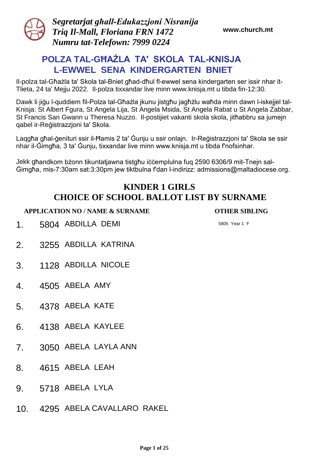

*Segretarjat għall-Edukazzjoni Nisranija Triq Il-Mall, Floriana FRN 1472 Numru tat-Telefown: 7999 0224* 

**www.church.mt**

# **POLZA TAL-GĦAŻLA TA' SKOLA TAL-KNISJA L-EWWEL SENA KINDERGARTEN BNIET**

Il-polza tal-Għażla ta' Skola tal-Bniet għad-dħul fl-ewwel sena kindergarten ser issir nhar it-Tlieta, 24 ta' Mejju 2022. Il-polza tixxandar live minn www.knisja.mt u tibda fin-12:30.

Dawk li jiġu l-quddiem fil-Polza tal-Għażla jkunu jistgħu jagħżlu waħda minn dawn l-iskejjel tal-Knisja: St Albert Fgura, St Angela Lija, St Angela Msida, St Angela Rabat u St Angela Zabbar, St Francis San Gwann u Theresa Nuzzo. Il-postijiet vakanti skola skola, jitħabbru sa jumejn qabel ir-Reġistrazzjoni ta' Skola.

Laqgħa għal-ġenituri ssir il-Ħamis 2 ta' Ġunju u ssir onlajn. Ir-Reġistrazzjoni ta' Skola se ssir nhar il-Ġimgħa, 3 ta' Ġunju, tixxandar live minn www.knisja.mt u tibda f'nofsinhar.

Jekk għandkom bżonn tikuntatjawna tistgħu iċċemplulna fuq 2590 6306/9 mit-Tnejn sal-Ġimgħa, mis-7:30am sat:3:30pm jew tiktbulna f'dan l-indirizz: admissions@maltadiocese.org.

# **KINDER 1 GIRLS CHOICE OF SCHOOL BALLOT LIST BY SURNAME**

**APPLICATION NO / NAME & SURNAME OTHER SIBLING**

1. 5804 ABDILLA DEMI 5805 Year 1 F

- 2. 3255 ABDILLA KATRINA
- 3. 1128 ABDILLA NICOLE
- 4. 4505 ABELA AMY
- 5. 4378 ABELA KATE
- 6. 4138 ABELA KAYLEE
- 7. 3050 ABELA LAYLA ANN
- 8. 4615 ABELA LEAH
- 9. 5718 ABELA LYLA
- 10. 4295 ABELA CAVALLARO RAKEL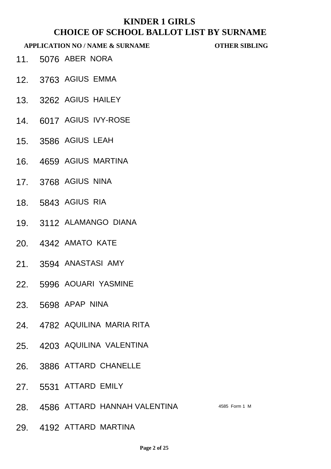- 11. 5076 ABER NORA
- 12. 3763 AGIUS EMMA
- 13. 3262 AGIUS HAILEY
- 14. 6017 AGIUS IVY-ROSE
- 15. 3586 AGIUS LEAH
- 16. 4659 AGIUS MARTINA
- 17. 3768 AGIUS NINA
- 18. 5843 AGIUS RIA
- 19. 3112 ALAMANGO DIANA
- 20. 4342 AMATO KATE
- 21. 3594 ANASTASI AMY
- 22. 5996 AOUARI YASMINE
- 23. 5698 APAP NINA
- 24. 4782 AQUILINA MARIA RITA
- 25. 4203 AQUILINA VALENTINA
- 26. 3886 ATTARD CHANELLE
- 27. 5531 ATTARD EMILY
- 28. 4586 ATTARD HANNAH VALENTINA 4585 Form 1 M
- 29. 4192 ATTARD MARTINA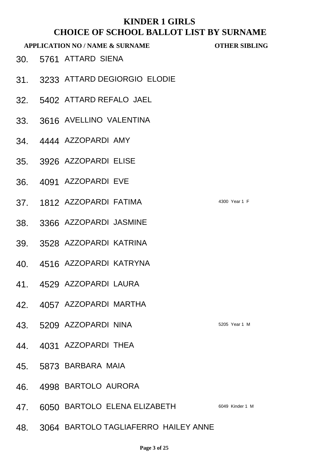| CHUICE OF BCHOOL DALLOT LIBT DT BONNAME<br><b>APPLICATION NO / NAME &amp; SURNAME</b> |  |                                      | <b>OTHER SIBLING</b> |
|---------------------------------------------------------------------------------------|--|--------------------------------------|----------------------|
|                                                                                       |  | 30. 5761 ATTARD SIENA                |                      |
|                                                                                       |  | 31. 3233 ATTARD DEGIORGIO ELODIE     |                      |
|                                                                                       |  | 32. 5402 ATTARD REFALO JAEL          |                      |
|                                                                                       |  | 33. 3616 AVELLINO VALENTINA          |                      |
|                                                                                       |  | 34. 4444 AZZOPARDI AMY               |                      |
|                                                                                       |  | 35. 3926 AZZOPARDI ELISE             |                      |
|                                                                                       |  | 36. 4091 AZZOPARDI EVE               |                      |
|                                                                                       |  | 37. 1812 AZZOPARDI FATIMA            | 4300 Year 1 F        |
|                                                                                       |  | 38. 3366 AZZOPARDI JASMINE           |                      |
|                                                                                       |  | 39. 3528 AZZOPARDI KATRINA           |                      |
|                                                                                       |  | 40. 4516 AZZOPARDI KATRYNA           |                      |
|                                                                                       |  | 41. 4529 AZZOPARDI LAURA             |                      |
| 42.                                                                                   |  | 4057 AZZOPARDI MARTHA                |                      |
| 43.                                                                                   |  | 5209 AZZOPARDI NINA                  | 5205 Year 1 M        |
| 44.                                                                                   |  | 4031 AZZOPARDI THEA                  |                      |
|                                                                                       |  | 45. 5873 BARBARA MAIA                |                      |
| 46.                                                                                   |  | 4998 BARTOLO AURORA                  |                      |
| 47.                                                                                   |  | 6050 BARTOLO ELENA ELIZABETH         | 6049 Kinder 1 M      |
| 48.                                                                                   |  | 3064 BARTOLO TAGLIAFERRO HAILEY ANNE |                      |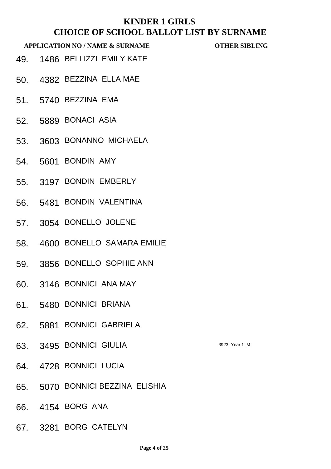- 49. 1486 BELLIZZI EMILY KATE
- 50. 4382 BEZZINA ELLA MAE
- 51. 5740 BEZZINA EMA
- 52. 5889 BONACI ASIA
- 53. 3603 BONANNO MICHAELA
- 54. 5601 BONDIN AMY
- 55. 3197 BONDIN EMBERLY
- 56. 5481 BONDIN VALENTINA
- 57. 3054 BONELLO JOLENE
- 58. 4600 BONELLO SAMARA EMILIE
- 59. 3856 BONELLO SOPHIE ANN
- 60. 3146 BONNICI ANA MAY
- 61. 5480 BONNICI BRIANA
- 62. 5881 BONNICI GABRIELA
- 63. 3495 BONNICI GIULIA 3923 Year 1 M
- 64. 4728 BONNICI LUCIA
- 65. 5070 BONNICI BEZZINA ELISHIA
- 66. 4154 BORG ANA
- 67. 3281 BORG CATELYN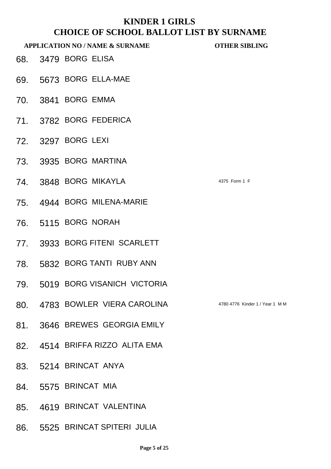- 68. 3479 BORG ELISA
- 69. 5673 BORG ELLA-MAE
- 70. 3841 BORG EMMA
- 71. 3782 BORG FEDERICA
- 72. 3297 BORG LEXI
- 73. 3935 BORG MARTINA
- 74. 3848 BORG MIKAYLA 4375 Form 1 F
- 75. 4944 BORG MILENA-MARIE
- 76. 5115 BORG NORAH
- 77. 3933 BORG FITENI SCARLETT
- 78. 5832 BORG TANTI RUBY ANN
- 79. 5019 BORG VISANICH VICTORIA
- 80. 4783 BOWLER VIERA CAROLINA 4780 4776 Kinder 1 / Year 1 MM
- 81. 3646 BREWES GEORGIA EMILY
- 82. 4514 BRIFFA RIZZO ALITA EMA
- 83. 5214 BRINCAT ANYA
- 84. 5575 BRINCAT MIA
- 85. 4619 BRINCAT VALENTINA
- 86. 5525 BRINCAT SPITERI JULIA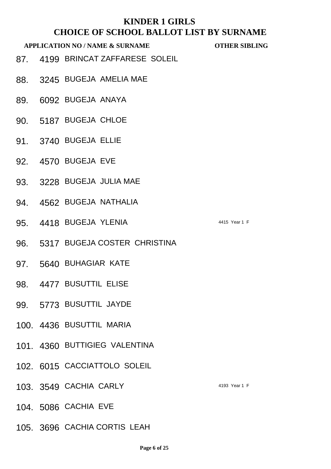- 87. 4199 BRINCAT ZAFFARESE SOLEIL
- 88. 3245 BUGEJA AMELIA MAE
- 89. 6092 BUGEJA ANAYA
- 90. 5187 BUGEJA CHLOE
- 91. 3740 BUGEJA ELLIE
- 92. 4570 BUGEJA EVE
- 93. 3228 BUGEJA JULIA MAE
- 94. 4562 BUGEJA NATHALIA
- 95. 4418 BUGEJA YLENIA 4415 Year 1 F
- 96. 5317 BUGEJA COSTER CHRISTINA
- 97. 5640 BUHAGIAR KATE
- 98. 4477 BUSUTTIL ELISE
- 99. 5773 BUSUTTIL JAYDE
- 100. 4436 BUSUTTIL MARIA
- 101. 4360 BUTTIGIEG VALENTINA
- 102. 6015 CACCIATTOLO SOLEIL
- 103. 3549 CACHIA CARLY 4193 Year 1 F
- 104. 5086 CACHIA EVE
- 105. 3696 CACHIA CORTIS LEAH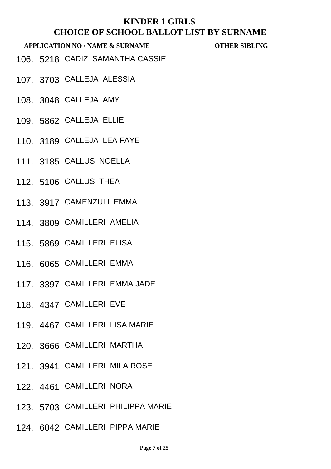- 106. 5218 CADIZ SAMANTHA CASSIE
- 

- 107. 3703 CALLEJA ALESSIA
- 108. 3048 CALLEJA AMY
- 109. 5862 CALLEJA ELLIE
- 110. 3189 CALLEJA LEA FAYE
- 111. 3185 CALLUS NOELLA
- 112. 5106 CALLUS THEA
- 113. 3917 CAMENZULI EMMA
- 114. 3809 CAMILLERI AMELIA
- 115. 5869 CAMILLERI ELISA
- 116. 6065 CAMILLERI EMMA
- 117. 3397 CAMILLERI EMMA JADE
- 118. 4347 CAMILLERI EVE
- 119. 4467 CAMILLERI LISA MARIE
- 120. 3666 CAMILLERI MARTHA
- 121. 3941 CAMILLERI MILA ROSE
- 122. 4461 CAMILLERI NORA
- 123. 5703 CAMILLERI PHILIPPA MARIE
- 124. 6042 CAMILLERI PIPPA MARIE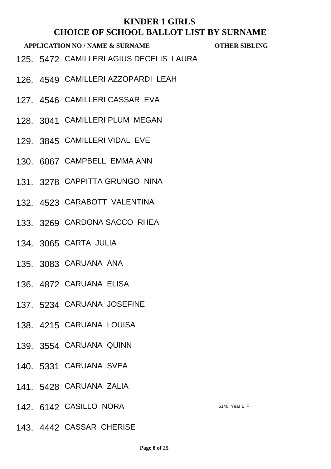- 125. 5472 CAMILLERI AGIUS DECELIS LAURA
- 126. 4549 CAMILLERI AZZOPARDI LEAH
- 127. 4546 CAMILLERI CASSAR EVA
- 128. 3041 CAMILLERI PLUM MEGAN
- 129. 3845 CAMILLERI VIDAL EVE
- 130. 6067 CAMPBELL EMMA ANN
- 131. 3278 CAPPITTA GRUNGO NINA
- 132. 4523 CARABOTT VALENTINA
- 133. 3269 CARDONA SACCO RHEA
- 134. 3065 CARTA JULIA
- 135. 3083 CARUANA ANA
- 136. 4872 CARUANA ELISA
- 137. 5234 CARUANA JOSEFINE
- 138. 4215 CARUANA LOUISA
- 139. 3554 CARUANA QUINN
- 140. 5331 CARUANA SVEA
- 141. 5428 CARUANA ZALIA
- 142. 6142 CASILLO NORA 6140 Year 1 F
- 143. 4442 CASSAR CHERISE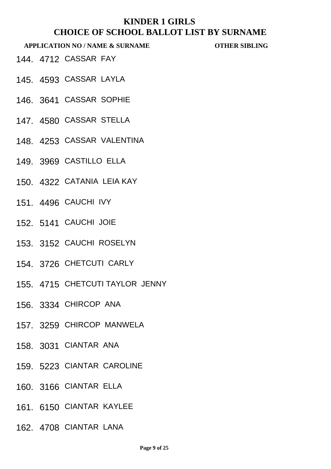- 144. 4712 CASSAR FAY
- 145. 4593 CASSAR LAYLA
- 146. 3641 CASSAR SOPHIE
- 147. 4580 CASSAR STELLA
- 148. 4253 CASSAR VALENTINA
- 149. 3969 CASTILLO ELLA
- 150. 4322 CATANIA LEIA KAY
- 151. 4496 CAUCHI IVY
- 152. 5141 CAUCHI JOIE
- 153. 3152 CAUCHI ROSELYN
- 154. 3726 CHETCUTI CARLY
- 155. 4715 CHETCUTI TAYLOR JENNY
- 156. 3334 CHIRCOP ANA
- 157. 3259 CHIRCOP MANWELA
- 158. 3031 CIANTAR ANA
- 159. 5223 CIANTAR CAROLINE
- 160. 3166 CIANTAR ELLA
- 161. 6150 CIANTAR KAYLEE
- 162. 4708 CIANTAR LANA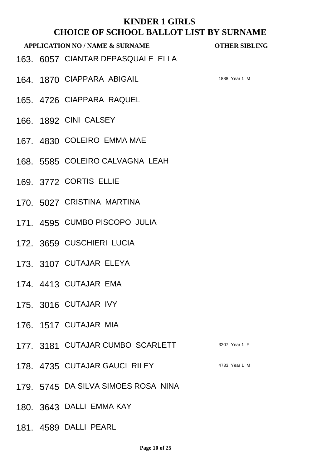- 163. 6057 CIANTAR DEPASQUALE ELLA
- 164 1870 CIAPPARA ABIGAIL 1888 Year 1 M

- 165. 4726 CIAPPARA RAQUEL
- 166. 1892 CINI CALSEY
- 167. 4830 COLEIRO EMMA MAE
- 168. 5585 COLEIRO CALVAGNA LEAH
- 169. 3772 CORTIS ELLIE
- 170. 5027 CRISTINA MARTINA
- 171. 4595 CUMBO PISCOPO JULIA
- 172. 3659 CUSCHIERI LUCIA
- 173. 3107 CUTAJAR ELEYA
- 174. 4413 CUTAJAR EMA
- 175. 3016 CUTAJAR IVY
- 176. 1517 CUTAJAR MIA
- 177. 3181 CUTAJAR CUMBO SCARLETT 3207 Year 1 F
- 178. 4735 CUTAJAR GAUCI RILEY 4733 Year 1 M
- 179. 5745 DA SILVA SIMOES ROSA NINA
- 180. 3643 DALLI EMMA KAY
- 181. 4589 DALLI PEARL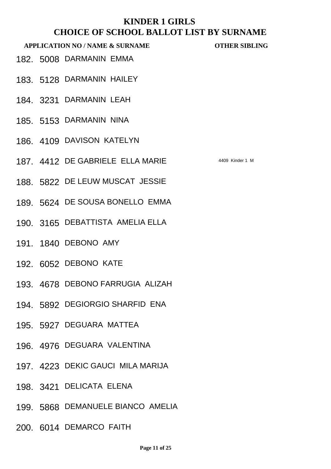- 182. 5008 DARMANIN EMMA
- 183. 5128 DARMANIN HAILEY
- 184. 3231 DARMANIN LEAH
- 185. 5153 DARMANIN NINA
- 186. 4109 DAVISON KATELYN
- 187. 4412 DE GABRIELE ELLA MARIE 4409 Kinder 1 M
- 188. 5822 DE LEUW MUSCAT JESSIE
- 189. 5624 DE SOUSA BONELLO EMMA
- 190. 3165 DEBATTISTA AMELIA ELLA
- 191. 1840 DEBONO AMY
- 192. 6052 DEBONO KATE
- 193. 4678 DEBONO FARRUGIA ALIZAH
- 194. 5892 DEGIORGIO SHARFID ENA
- 195. 5927 DEGUARA MATTEA
- 196. 4976 DEGUARA VALENTINA
- 197. 4223 DEKIC GAUCI MILA MARIJA
- 198. 3421 DELICATA ELENA
- 199. 5868 DEMANUELE BIANCO AMELIA
- 200. 6014 DEMARCO FAITH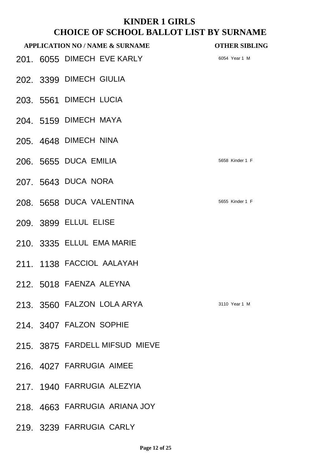|  | <b>APPLICATION NO / NAME &amp; SURNAME</b> | <b>OTHER SIBLING</b> |
|--|--------------------------------------------|----------------------|
|  | 201. 6055 DIMECH EVE KARLY                 | 6054 Year 1 M        |
|  | 202. 3399 DIMECH GIULIA                    |                      |
|  | 203. 5561 DIMECH LUCIA                     |                      |
|  | 204. 5159 DIMECH MAYA                      |                      |
|  | 205. 4648 DIMECH NINA                      |                      |
|  | 206. 5655 DUCA EMILIA                      | 5658 Kinder 1 F      |
|  | 207. 5643 DUCA NORA                        |                      |
|  | 208. 5658 DUCA VALENTINA                   | 5655 Kinder 1 F      |
|  | 209. 3899 ELLUL ELISE                      |                      |
|  | 210. 3335 ELLUL EMA MARIE                  |                      |
|  | 211. 1138 FACCIOL AALAYAH                  |                      |
|  | 212. 5018 FAENZA ALEYNA                    |                      |
|  | 213. 3560 FALZON LOLA ARYA                 | 3110 Year 1 M        |
|  | 214. 3407 FALZON SOPHIE                    |                      |
|  | 215. 3875 FARDELL MIFSUD MIEVE             |                      |
|  | 216. 4027 FARRUGIA AIMEE                   |                      |
|  | 217. 1940 FARRUGIA ALEZYIA                 |                      |
|  | 218. 4663 FARRUGIA ARIANA JOY              |                      |
|  | 219. 3239 FARRUGIA CARLY                   |                      |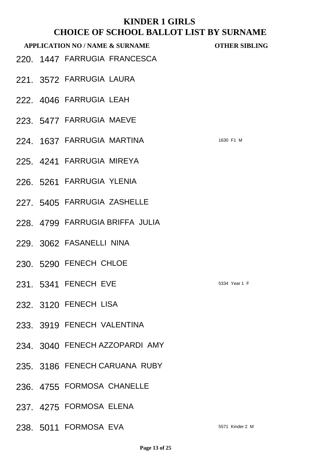# **KINDER 1 GIRLS CHOUL BALLOTS A SHOPE**<br>CHOICE OF SCHOOL BALLOT LIST BY SURNAME

|  | CHOICE OF SCHOOL BALLOT LIST BY SURNAME    |                      |
|--|--------------------------------------------|----------------------|
|  | <b>APPLICATION NO / NAME &amp; SURNAME</b> | <b>OTHER SIBLING</b> |
|  | 220. 1447 FARRUGIA FRANCESCA               |                      |
|  | 221. 3572 FARRUGIA LAURA                   |                      |
|  | 222. 4046 FARRUGIA LEAH                    |                      |
|  | 223. 5477 FARRUGIA MAEVE                   |                      |
|  | 224. 1637 FARRUGIA MARTINA                 | 1630 F1 M            |
|  | 225. 4241 FARRUGIA MIREYA                  |                      |
|  | 226. 5261 FARRUGIA YLENIA                  |                      |
|  | 227. 5405 FARRUGIA ZASHELLE                |                      |
|  | 228. 4799 FARRUGIA BRIFFA JULIA            |                      |
|  | 229. 3062 FASANELLI NINA                   |                      |
|  | 230. 5290 FENECH CHLOE                     |                      |
|  | 231. 5341 FENECH EVE                       | 5334 Year 1 F        |
|  | 232. 3120 FENECH LISA                      |                      |
|  | 233. 3919 FENECH VALENTINA                 |                      |
|  | 234. 3040 FENECH AZZOPARDI AMY             |                      |
|  | 235. 3186 FENECH CARUANA RUBY              |                      |
|  | 236. 4755 FORMOSA CHANELLE                 |                      |
|  | 237. 4275 FORMOSA ELENA                    |                      |
|  | 238. 5011 FORMOSA EVA                      | 5571 Kinder 2 M      |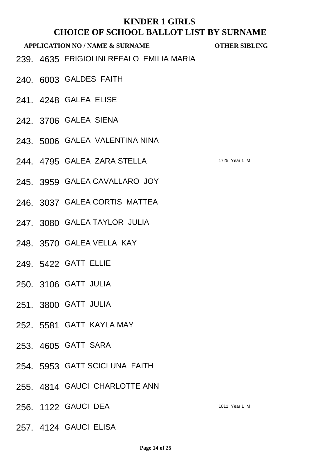- 239. 4635 FRIGIOLINI REFALO EMILIA MARIA
- 240. 6003 GALDES FAITH
- 241. 4248 GALEA ELISE
- 242. 3706 GALEA SIENA
- 243. 5006 GALEA VALENTINA NINA
- 244 4795 GALEA ZARA STELLA 1725 Year 1 M
- 245. 3959 GALEA CAVALLARO JOY
- 246. 3037 GALEA CORTIS MATTEA
- 247. 3080 GALEA TAYLOR JULIA
- 248. 3570 GALEA VELLA KAY
- 249. 5422 GATT ELLIE
- 250. 3106 GATT JULIA
- 251. 3800 GATT JULIA
- 252. 5581 GATT KAYLA MAY
- 253. 4605 GATT SARA
- 254. 5953 GATT SCICLUNA FAITH
- 255. 4814 GAUCI CHARLOTTE ANN
- 256. 1122 GAUCI DEA 1011 Year 1 M
- 257. 4124 GAUCI ELISA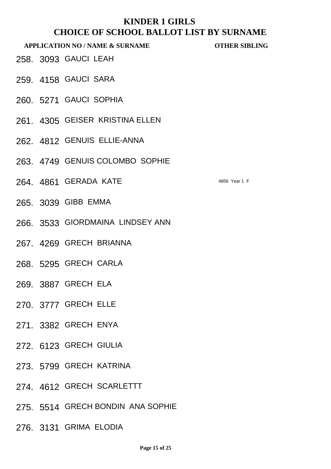- 258. 3093 GAUCI LEAH
- 259. 4158 GAUCI SARA
- 260. 5271 GAUCI SOPHIA
- 261. 4305 GEISER KRISTINA ELLEN
- 262. 4812 GENUIS ELLIE-ANNA
- 263. 4749 GENUIS COLOMBO SOPHIE
- 264. 4861 GERADA KATE 4856 Year 1 F
- 265. 3039 GIBB EMMA
- 266. 3533 GIORDMAINA LINDSEY ANN
- 267. 4269 GRECH BRIANNA
- 268. 5295 GRECH CARLA
- 269. 3887 GRECH ELA
- 270. 3777 GRECH ELLE
- 271. 3382 GRECH ENYA
- 272. 6123 GRECH GIULIA
- 273. 5799 GRECH KATRINA
- 274. 4612 GRECH SCARLETTT
- 275. 5514 GRECH BONDIN ANA SOPHIE
- 276. 3131 GRIMA ELODIA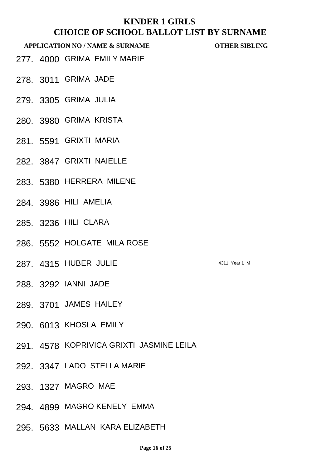- 277. 4000 GRIMA EMILY MARIE
- 278. 3011 GRIMA JADE
- 279. 3305 GRIMA JULIA
- 280. 3980 GRIMA KRISTA
- 281. 5591 GRIXTI MARIA
- 282. 3847 GRIXTI NAIELLE
- 283. 5380 HERRERA MILENE
- 284. 3986 HILI AMELIA
- 285. 3236 HILI CLARA
- 286. 5552 HOLGATE MILA ROSE
- 287. 4315 HUBER JULIE 4311 Year 1 M
- 288. 3292 IANNI JADE
- 289. 3701 JAMES HAILEY
- 290. 6013 KHOSLA EMILY
- 291. 4578 KOPRIVICA GRIXTI JASMINE LEILA
- 292. 3347 LADO STELLA MARIE
- 293. 1327 MAGRO MAE
- 294. 4899 MAGRO KENELY EMMA
- 295. 5633 MALLAN KARA ELIZABETH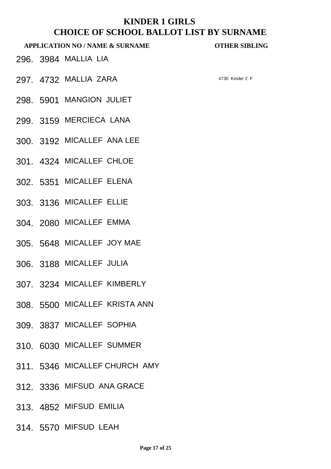- 296. 3984 MALLIA LIA
- 297 4732 MALLIA ZARA 4730 Kinder 2 F
	-

- 298. 5901 MANGION JULIET
- 299. 3159 MERCIECA LANA
- 300. 3192 MICALLEF ANA LEE
- 301. 4324 MICALLEF CHLOE
- 302. 5351 MICALLEF ELENA
- 303. 3136 MICALLEF ELLIE
- 304. 2080 MICALLEF EMMA
- 305. 5648 MICALLEF JOY MAE
- 306. 3188 MICALLEF JULIA
- 307. 3234 MICALLEF KIMBERLY
- 308. 5500 MICALLEF KRISTA ANN
- 309. 3837 MICALLEF SOPHIA
- 310. 6030 MICALLEF SUMMER
- 311. 5346 MICALLEF CHURCH AMY
- 312. 3336 MIFSUD ANA GRACE
- 313. 4852 MIFSUD EMILIA
- 314. 5570 MIFSUD LEAH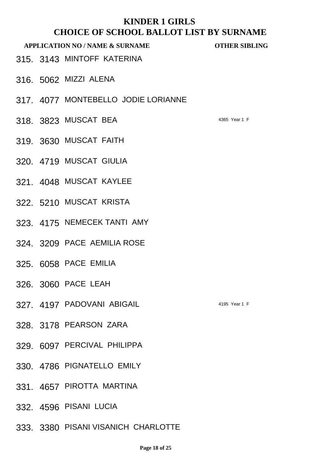- 315. 3143 MINTOFF KATERINA
- 316. 5062 MIZZI ALENA
- 317. 4077 MONTEBELLO JODIE LORIANNE
- 318. 3823 MUSCAT BEA 4365 Year 1 F
- 319. 3630 MUSCAT FAITH
- 320. 4719 MUSCAT GIULIA
- 321. 4048 MUSCAT KAYLEE
- 322. 5210 MUSCAT KRISTA
- 323. 4175 NEMECEK TANTI AMY
- 324. 3209 PACE AEMILIA ROSE
- 325. 6058 PACE EMILIA
- 326. 3060 PACE LEAH
- 327. 4197 PADOVANI ABIGAIL 4195 Year 1 F
- 328. 3178 PEARSON ZARA
- 329. 6097 PERCIVAL PHILIPPA
- 330. 4786 PIGNATELLO EMILY
- 331. 4657 PIROTTA MARTINA
- 332. 4596 PISANI LUCIA
- 333. 3380 PISANI VISANICH CHARLOTTE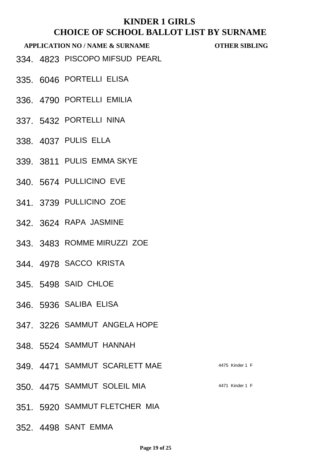#### **APPLICATION NO / NAME & SURNAME OTHER SIBLING**

334. 4823 PISCOPO MIFSUD PEARL

- 335. 6046 PORTELLI ELISA
- 336. 4790 PORTELLI EMILIA
- 337. 5432 PORTELLI NINA
- 338. 4037 PULIS ELLA
- 339. 3811 PULIS EMMA SKYE
- 340. 5674 PULLICINO EVE
- 341. 3739 PULLICINO ZOE
- 342. 3624 RAPA JASMINE
- 343. 3483 ROMME MIRUZZI ZOE
- 344. 4978 SACCO KRISTA
- 345. 5498 SAID CHLOE
- 346. 5936 SALIBA ELISA
- 347. 3226 SAMMUT ANGELA HOPE
- 348. 5524 SAMMUT HANNAH
- 349. 4471 SAMMUT SCARLETT MAE 4475 Kinder 1 F
- 350. 4475 SAMMUT SOLEIL MIA **1988 1999 120 14471 Kinder 1 F**
- 351. 5920 SAMMUT FLETCHER MIA
- 352. 4498 SANT EMMA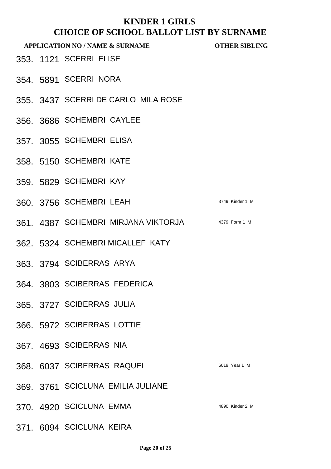|  | <b>APPLICATION NO / NAME &amp; SURNAME</b>        | <b>OTHER SIBLING</b> |
|--|---------------------------------------------------|----------------------|
|  | 353. 1121 SCERRI ELISE                            |                      |
|  | 354. 5891 SCERRI NORA                             |                      |
|  | 355. 3437 SCERRI DE CARLO MILA ROSE               |                      |
|  | 356. 3686 SCHEMBRI CAYLEE                         |                      |
|  | 357. 3055 SCHEMBRI ELISA                          |                      |
|  | 358. 5150 SCHEMBRI KATE                           |                      |
|  | 359. 5829 SCHEMBRI KAY                            |                      |
|  | 360, 3756 SCHEMBRI LEAH                           | 3749 Kinder 1 M      |
|  | 361. 4387 SCHEMBRI MIRJANA VIKTORJA 4379 Form 1 M |                      |
|  | 362. 5324 SCHEMBRI MICALLEF KATY                  |                      |
|  | 363. 3794 SCIBERRAS ARYA                          |                      |
|  | 364. 3803 SCIBERRAS FEDERICA                      |                      |
|  | 365. 3727 SCIBERRAS JULIA                         |                      |
|  | 366. 5972 SCIBERRAS LOTTIE                        |                      |
|  | 367. 4693 SCIBERRAS NIA                           |                      |
|  | 368. 6037 SCIBERRAS RAQUEL                        | 6019 Year 1 M        |
|  | 369. 3761 SCICLUNA EMILIA JULIANE                 |                      |
|  | 370. 4920 SCICLUNA EMMA                           | 4890 Kinder 2 M      |
|  | 371. 6094 SCICLUNA KEIRA                          |                      |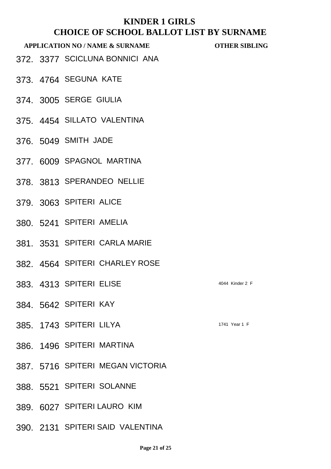#### **APPLICATION NO / NAME & SURNAME OTHER SIBLING**

372. 3377 SCICLUNA BONNICI ANA

- 373. 4764 SEGUNA KATE
- 374. 3005 SERGE GIULIA
- 375. 4454 SILLATO VALENTINA
- 376. 5049 SMITH JADE
- 377. 6009 SPAGNOL MARTINA
- 378. 3813 SPERANDEO NELLIE
- 379. 3063 SPITERI ALICE
- 380. 5241 SPITERI AMELIA
- 381. 3531 SPITERI CARLA MARIE
- 382. 4564 SPITERI CHARLEY ROSE
- 383. 4313 SPITERI ELISE 4044 Kinder 2 F
- 384. 5642 SPITERI KAY
- 385. 1743 SPITERI LILYA 1741 Year 1 F
- 386. 1496 SPITERI MARTINA
- 387. 5716 SPITERI MEGAN VICTORIA
- 388. 5521 SPITERI SOLANNE
- 389. 6027 SPITERI LAURO KIM
- 390. 2131 SPITERI SAID VALENTINA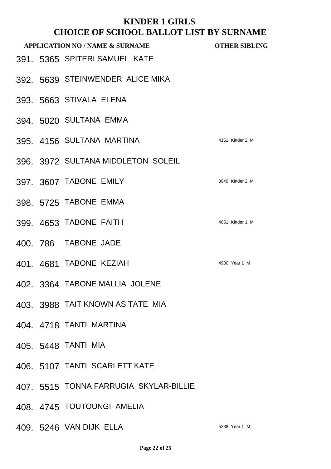|  | <b>APPLICATION NO / NAME &amp; SURNAME</b> | <b>OTHER SIBLING</b> |
|--|--------------------------------------------|----------------------|
|  | 391. 5365 SPITERI SAMUEL KATE              |                      |
|  | 392. 5639 STEINWENDER ALICE MIKA           |                      |
|  | 393. 5663 STIVALA ELENA                    |                      |
|  | 394. 5020 SULTANA EMMA                     |                      |
|  | 395. 4156 SULTANA MARTINA                  | 4151 Kinder 2 M      |
|  | 396. 3972 SULTANA MIDDLETON SOLEIL         |                      |
|  | 397. 3607 TABONE EMILY                     | 3949 Kinder 2 M      |
|  | 398. 5725 TABONE EMMA                      |                      |
|  | 399. 4653 TABONE FAITH                     | 4651 Kinder 1 M      |
|  | 400, 786 TABONE JADE                       |                      |
|  | 401. 4681 TABONE KEZIAH                    | 4900 Year 1 M        |
|  | 402. 3364 TABONE MALLIA JOLENE             |                      |
|  | 403. 3988 TAIT KNOWN AS TATE MIA           |                      |
|  | 404. 4718 TANTI MARTINA                    |                      |
|  | 405. 5448 TANTI MIA                        |                      |
|  | 406. 5107 TANTI SCARLETT KATE              |                      |
|  | 407. 5515 TONNA FARRUGIA SKYLAR-BILLIE     |                      |
|  | 408. 4745 TOUTOUNGI AMELIA                 |                      |
|  | 409. 5246 VAN DIJK ELLA                    | 5238 Year 1 M        |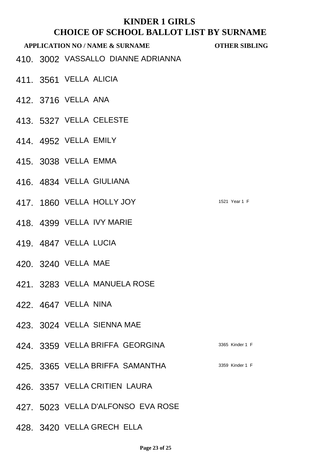|  | <b>APPLICATION NO / NAME &amp; SURNAME</b> | <b>OTHER SIBLING</b> |
|--|--------------------------------------------|----------------------|
|  | 410. 3002 VASSALLO DIANNE ADRIANNA         |                      |
|  | 411. 3561 VELLA ALICIA                     |                      |
|  | 412. 3716 VELLA ANA                        |                      |
|  | 413. 5327 VELLA CELESTE                    |                      |
|  | 414, 4952 VELLA EMILY                      |                      |
|  | 415. 3038 VELLA EMMA                       |                      |
|  | 416. 4834 VELLA GIULIANA                   |                      |
|  | 417. 1860 VELLA HOLLY JOY                  | 1521 Year 1 F        |
|  | 418. 4399 VELLA IVY MARIE                  |                      |
|  | 419. 4847 VELLA LUCIA                      |                      |
|  | 420, 3240 VELLA MAE                        |                      |
|  | 421. 3283 VELLA MANUELA ROSE               |                      |
|  | 422, 4647 VELLA NINA                       |                      |
|  | 423. 3024 VELLA SIENNA MAE                 |                      |
|  | 424. 3359 VELLA BRIFFA GEORGINA            | 3365 Kinder 1 F      |
|  | 425. 3365 VELLA BRIFFA SAMANTHA            | 3359 Kinder 1 F      |
|  | 426. 3357 VELLA CRITIEN LAURA              |                      |
|  | 427. 5023 VELLA D'ALFONSO EVA ROSE         |                      |

428. 3420 VELLA GRECH ELLA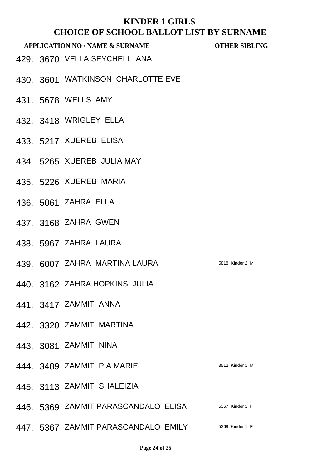- 429. 3670 VELLA SEYCHELL ANA
- 430. 3601 WATKINSON CHARLOTTE EVE
- 431. 5678 WELLS AMY
- 432. 3418 WRIGLEY ELLA
- 433. 5217 XUEREB ELISA
- 434. 5265 XUEREB JULIA MAY
- 435. 5226 XUEREB MARIA
- 436. 5061 ZAHRA ELLA
- 437. 3168 ZAHRA GWEN
- 438. 5967 ZAHRA LAURA
- 439. 6007 ZAHRA MARTINA LAURA 5818 Kinder 2 M
- 440. 3162 ZAHRA HOPKINS JULIA
- 441. 3417 ZAMMIT ANNA
- 442. 3320 ZAMMIT MARTINA
- 443. 3081 ZAMMIT NINA
- 444. 3489 ZAMMIT PIA MARIE 3512 Kinder 1 M
- 445. 3113 ZAMMIT SHALEIZIA
- 446. 5369 ZAMMIT PARASCANDALO ELISA 5367 Kinder 1 F
- 447. 5367 ZAMMIT PARASCANDALO EMILY 5369 Kinder 1 F